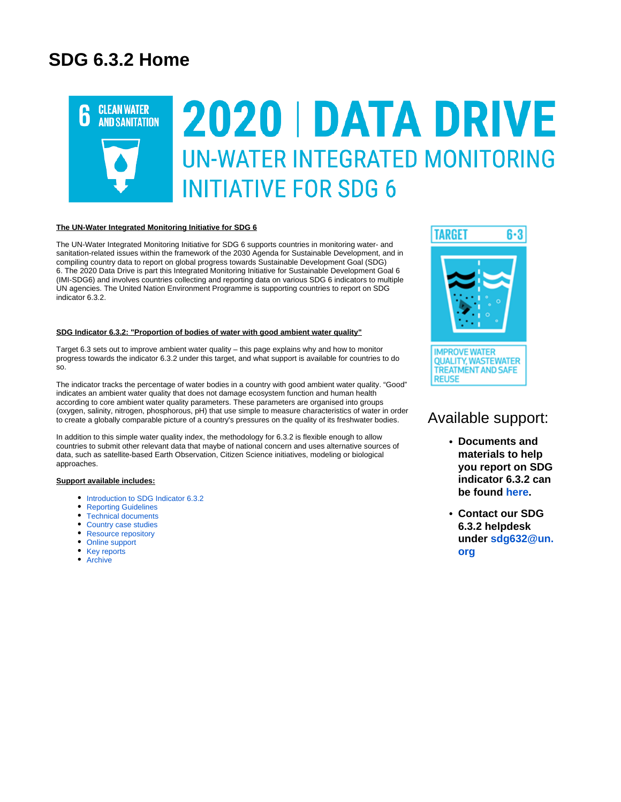## **SDG 6.3.2 Home**



#### **The UN-Water Integrated Monitoring Initiative for SDG 6**

The UN-Water Integrated Monitoring Initiative for SDG 6 supports countries in monitoring water- and sanitation-related issues within the framework of the 2030 Agenda for Sustainable Development, and in compiling country data to report on global progress towards Sustainable Development Goal (SDG) 6. The 2020 Data Drive is part this Integrated Monitoring Initiative for Sustainable Development Goal 6 (IMI-SDG6) and involves countries collecting and reporting data on various SDG 6 indicators to multiple UN agencies. The United Nation Environment Programme is supporting countries to report on SDG indicator 6.3.2.

#### **SDG Indicator 6.3.2: "Proportion of bodies of water with good ambient water quality"**

Target 6.3 sets out to improve ambient water quality – this page explains why and how to monitor progress towards the indicator 6.3.2 under this target, and what support is available for countries to do so.

The indicator tracks the percentage of water bodies in a country with good ambient water quality. "Good" indicates an ambient water quality that does not damage ecosystem function and human health according to core ambient water quality parameters. These parameters are organised into groups (oxygen, salinity, nitrogen, phosphorous, pH) that use simple to measure characteristics of water in order to create a globally comparable picture of a country's pressures on the quality of its freshwater bodies.

In addition to this simple water quality index, the methodology for 6.3.2 is flexible enough to allow countries to submit other relevant data that maybe of national concern and uses alternative sources of data, such as satellite-based Earth Observation, Citizen Science initiatives, modeling or biological approaches.

#### **Support available includes:**

- [Introduction to SDG Indicator 6.3.2](https://communities.unep.org/display/sdg632/Documents+and+Materials#DocumentsandMaterials-Intro)
- [Reporting Guidelines](https://communities.unep.org/display/sdg632/Documents+and+Materials#DocumentsandMaterials-ReportingGuidelines)
- [Technical documents](https://communities.unep.org/display/sdg632/Documents+and+Materials#DocumentsandMaterials-Technical)
- [Country case studies](https://communities.unep.org/display/sdg632/Documents+and+Materials#DocumentsandMaterials-Cases)
- [Resource repository](https://communities.unep.org/display/sdg632/Documents+and+Materials#DocumentsandMaterials-Resources)
- [Online support](https://communities.unep.org/display/sdg632/Documents+and+Materials#DocumentsandMaterials-Online)
- [Key reports](https://communities.unep.org/display/sdg632/Documents+and+Materials#DocumentsandMaterials-Reports)
- [Archive](https://communities.unep.org/display/sdg632/Documents+and+Materials#DocumentsandMaterials-Archive)





### Available support:

- **Documents and materials to help you report on SDG indicator 6.3.2 can be found [here](https://communities.unep.org/display/sdg632/Documents+and+Materials).**
- **Contact our SDG 6.3.2 helpdesk under [sdg632@un.](mailto:sdg632@un.org) [org](mailto:sdg632@un.org)**